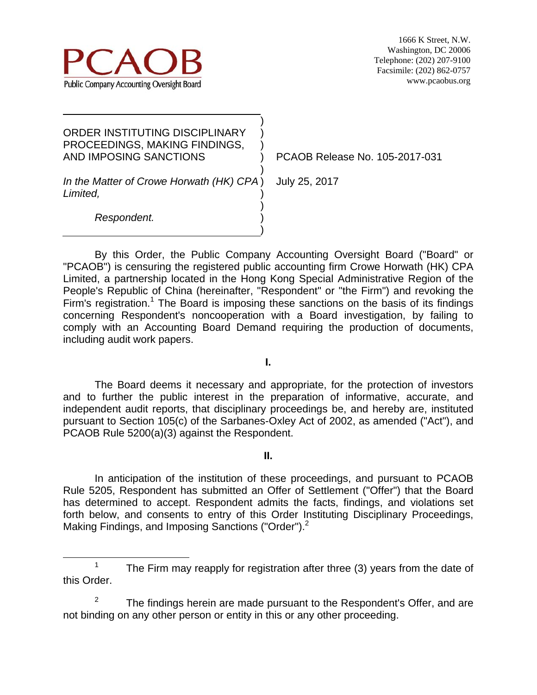

| ORDER INSTITUTING DISCIPLINARY<br>PROCEEDINGS, MAKING FINDINGS,<br>AND IMPOSING SANCTIONS |  |
|-------------------------------------------------------------------------------------------|--|
| In the Matter of Crowe Horwath (HK) CPA)<br>Limited,                                      |  |

PCAOB Release No. 105-2017-031

July 25, 2017

*Respondent.*

By this Order, the Public Company Accounting Oversight Board ("Board" or "PCAOB") is censuring the registered public accounting firm Crowe Horwath (HK) CPA Limited, a partnership located in the Hong Kong Special Administrative Region of the People's Republic of China (hereinafter, "Respondent" or "the Firm") and revoking the Firm's registration.<sup>1</sup> The Board is imposing these sanctions on the basis of its findings concerning Respondent's noncooperation with a Board investigation, by failing to comply with an Accounting Board Demand requiring the production of documents, including audit work papers.

) ) )

**I.** 

The Board deems it necessary and appropriate, for the protection of investors and to further the public interest in the preparation of informative, accurate, and independent audit reports, that disciplinary proceedings be, and hereby are, instituted pursuant to Section 105(c) of the Sarbanes-Oxley Act of 2002, as amended ("Act"), and PCAOB Rule 5200(a)(3) against the Respondent.

**II.** 

In anticipation of the institution of these proceedings, and pursuant to PCAOB Rule 5205, Respondent has submitted an Offer of Settlement ("Offer") that the Board has determined to accept. Respondent admits the facts, findings, and violations set forth below, and consents to entry of this Order Instituting Disciplinary Proceedings, Making Findings, and Imposing Sanctions ("Order").<sup>2</sup>

 <sup>1</sup> <sup>1</sup> The Firm may reapply for registration after three (3) years from the date of this Order.

<sup>2</sup> The findings herein are made pursuant to the Respondent's Offer, and are not binding on any other person or entity in this or any other proceeding.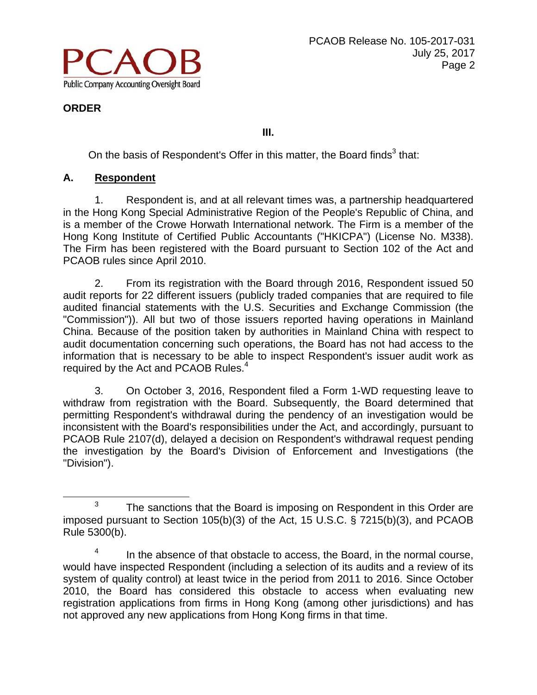

**III.** 

On the basis of Respondent's Offer in this matter, the Board finds $3$  that:

# **A. Respondent**

1. Respondent is, and at all relevant times was, a partnership headquartered in the Hong Kong Special Administrative Region of the People's Republic of China, and is a member of the Crowe Horwath International network. The Firm is a member of the Hong Kong Institute of Certified Public Accountants ("HKICPA") (License No. M338). The Firm has been registered with the Board pursuant to Section 102 of the Act and PCAOB rules since April 2010.

2. From its registration with the Board through 2016, Respondent issued 50 audit reports for 22 different issuers (publicly traded companies that are required to file audited financial statements with the U.S. Securities and Exchange Commission (the "Commission")). All but two of those issuers reported having operations in Mainland China. Because of the position taken by authorities in Mainland China with respect to audit documentation concerning such operations, the Board has not had access to the information that is necessary to be able to inspect Respondent's issuer audit work as required by the Act and PCAOB Rules. $4$ 

3. On October 3, 2016, Respondent filed a Form 1-WD requesting leave to withdraw from registration with the Board. Subsequently, the Board determined that permitting Respondent's withdrawal during the pendency of an investigation would be inconsistent with the Board's responsibilities under the Act, and accordingly, pursuant to PCAOB Rule 2107(d), delayed a decision on Respondent's withdrawal request pending the investigation by the Board's Division of Enforcement and Investigations (the "Division").

 $3$  The sanctions that the Board is imposing on Respondent in this Order are imposed pursuant to Section 105(b)(3) of the Act, 15 U.S.C. § 7215(b)(3), and PCAOB Rule 5300(b).

<sup>4</sup> In the absence of that obstacle to access, the Board, in the normal course, would have inspected Respondent (including a selection of its audits and a review of its system of quality control) at least twice in the period from 2011 to 2016. Since October 2010, the Board has considered this obstacle to access when evaluating new registration applications from firms in Hong Kong (among other jurisdictions) and has not approved any new applications from Hong Kong firms in that time.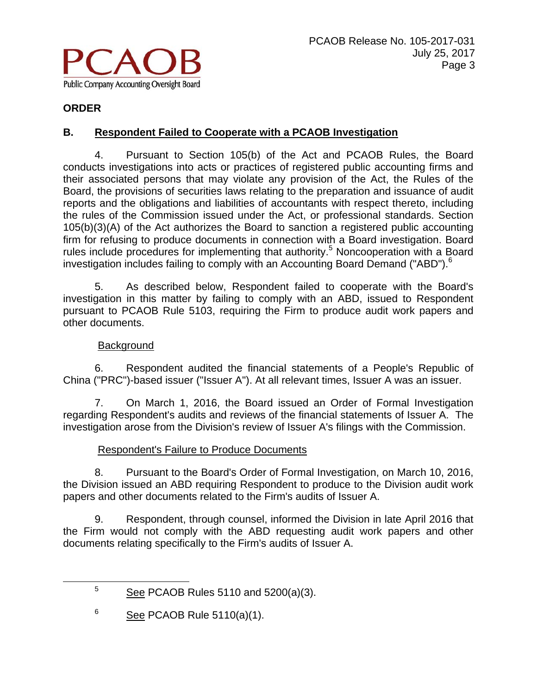

# **B. Respondent Failed to Cooperate with a PCAOB Investigation**

4. Pursuant to Section 105(b) of the Act and PCAOB Rules, the Board conducts investigations into acts or practices of registered public accounting firms and their associated persons that may violate any provision of the Act, the Rules of the Board, the provisions of securities laws relating to the preparation and issuance of audit reports and the obligations and liabilities of accountants with respect thereto, including the rules of the Commission issued under the Act, or professional standards. Section 105(b)(3)(A) of the Act authorizes the Board to sanction a registered public accounting firm for refusing to produce documents in connection with a Board investigation. Board rules include procedures for implementing that authority.<sup>5</sup> Noncooperation with a Board investigation includes failing to comply with an Accounting Board Demand ("ABD").<sup>6</sup>

5. As described below, Respondent failed to cooperate with the Board's investigation in this matter by failing to comply with an ABD, issued to Respondent pursuant to PCAOB Rule 5103, requiring the Firm to produce audit work papers and other documents.

### **Background**

6. Respondent audited the financial statements of a People's Republic of China ("PRC")-based issuer ("Issuer A"). At all relevant times, Issuer A was an issuer.

7. On March 1, 2016, the Board issued an Order of Formal Investigation regarding Respondent's audits and reviews of the financial statements of Issuer A. The investigation arose from the Division's review of Issuer A's filings with the Commission.

#### Respondent's Failure to Produce Documents

8. Pursuant to the Board's Order of Formal Investigation, on March 10, 2016, the Division issued an ABD requiring Respondent to produce to the Division audit work papers and other documents related to the Firm's audits of Issuer A.

9. Respondent, through counsel, informed the Division in late April 2016 that the Firm would not comply with the ABD requesting audit work papers and other documents relating specifically to the Firm's audits of Issuer A.

 $\frac{1}{5}$  $5 \qquad \underline{\text{See}}$  PCAOB Rules 5110 and 5200(a)(3).

<sup>6</sup> See PCAOB Rule 5110(a)(1).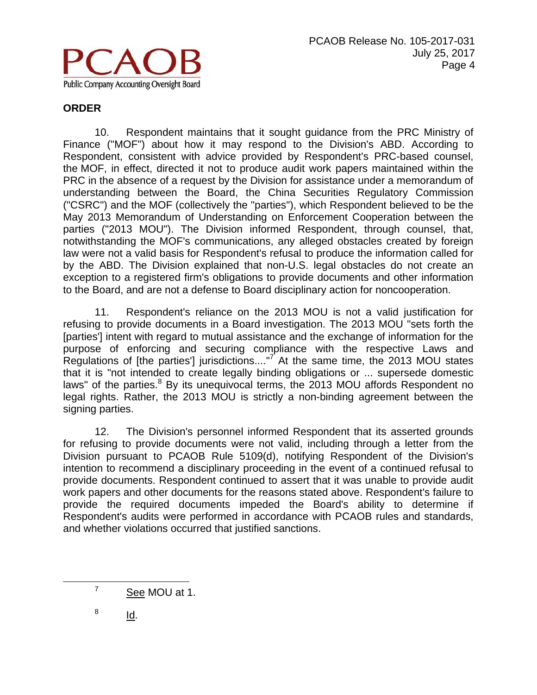

10. Respondent maintains that it sought guidance from the PRC Ministry of Finance ("MOF") about how it may respond to the Division's ABD. According to Respondent, consistent with advice provided by Respondent's PRC-based counsel, the MOF, in effect, directed it not to produce audit work papers maintained within the PRC in the absence of a request by the Division for assistance under a memorandum of understanding between the Board, the China Securities Regulatory Commission ("CSRC") and the MOF (collectively the "parties"), which Respondent believed to be the May 2013 Memorandum of Understanding on Enforcement Cooperation between the parties ("2013 MOU"). The Division informed Respondent, through counsel, that, notwithstanding the MOF's communications, any alleged obstacles created by foreign law were not a valid basis for Respondent's refusal to produce the information called for by the ABD. The Division explained that non-U.S. legal obstacles do not create an exception to a registered firm's obligations to provide documents and other information to the Board, and are not a defense to Board disciplinary action for noncooperation.

11. Respondent's reliance on the 2013 MOU is not a valid justification for refusing to provide documents in a Board investigation. The 2013 MOU "sets forth the [parties'] intent with regard to mutual assistance and the exchange of information for the purpose of enforcing and securing compliance with the respective Laws and Regulations of [the parties'] jurisdictions.... $\mathbb{I}^7$  At the same time, the 2013 MOU states that it is "not intended to create legally binding obligations or ... supersede domestic laws" of the parties.<sup>8</sup> By its unequivocal terms, the 2013 MOU affords Respondent no legal rights. Rather, the 2013 MOU is strictly a non-binding agreement between the signing parties.

12. The Division's personnel informed Respondent that its asserted grounds for refusing to provide documents were not valid, including through a letter from the Division pursuant to PCAOB Rule 5109(d), notifying Respondent of the Division's intention to recommend a disciplinary proceeding in the event of a continued refusal to provide documents. Respondent continued to assert that it was unable to provide audit work papers and other documents for the reasons stated above. Respondent's failure to provide the required documents impeded the Board's ability to determine if Respondent's audits were performed in accordance with PCAOB rules and standards, and whether violations occurred that justified sanctions.

8 Id.

 $\overline{7}$ <sup>7</sup> See MOU at 1.